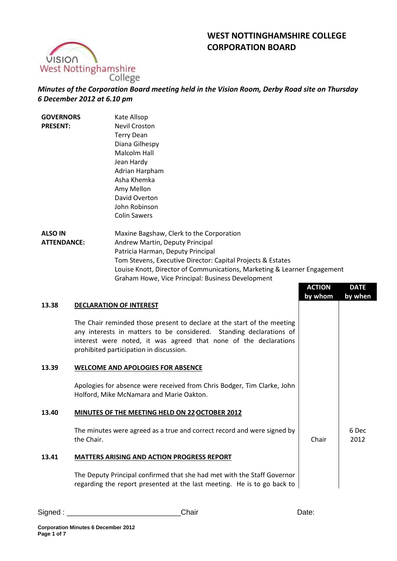# **WEST NOTTINGHAMSHIRE COLLEGE CORPORATION BOARD**



*Minutes of the Corporation Board meeting held in the Vision Room, Derby Road site on Thursday 6 December 2012 at 6.10 pm*

| <b>GOVERNORS</b><br><b>PRESENT:</b> |                                                                                                                     | Kate Allsop<br><b>Nevil Croston</b>                                      |               |               |
|-------------------------------------|---------------------------------------------------------------------------------------------------------------------|--------------------------------------------------------------------------|---------------|---------------|
|                                     |                                                                                                                     | <b>Terry Dean</b>                                                        |               |               |
|                                     |                                                                                                                     | Diana Gilhespy                                                           |               |               |
|                                     |                                                                                                                     | Malcolm Hall                                                             |               |               |
|                                     |                                                                                                                     | Jean Hardy                                                               |               |               |
|                                     |                                                                                                                     | Adrian Harpham                                                           |               |               |
|                                     |                                                                                                                     | Asha Khemka                                                              |               |               |
|                                     |                                                                                                                     | Amy Mellon                                                               |               |               |
|                                     |                                                                                                                     | David Overton                                                            |               |               |
|                                     |                                                                                                                     | John Robinson                                                            |               |               |
|                                     |                                                                                                                     | <b>Colin Sawers</b>                                                      |               |               |
| <b>ALSO IN</b>                      |                                                                                                                     | Maxine Bagshaw, Clerk to the Corporation                                 |               |               |
| <b>ATTENDANCE:</b>                  |                                                                                                                     | Andrew Martin, Deputy Principal                                          |               |               |
|                                     |                                                                                                                     | Patricia Harman, Deputy Principal                                        |               |               |
|                                     |                                                                                                                     | Tom Stevens, Executive Director: Capital Projects & Estates              |               |               |
|                                     |                                                                                                                     | Louise Knott, Director of Communications, Marketing & Learner Engagement |               |               |
|                                     |                                                                                                                     | Graham Howe, Vice Principal: Business Development                        |               |               |
|                                     |                                                                                                                     |                                                                          | <b>ACTION</b> | <b>DATE</b>   |
|                                     |                                                                                                                     |                                                                          | by whom       | by when       |
| 13.38                               |                                                                                                                     | <b>DECLARATION OF INTEREST</b>                                           |               |               |
|                                     |                                                                                                                     | The Chair reminded those present to declare at the start of the meeting  |               |               |
|                                     |                                                                                                                     | any interests in matters to be considered. Standing declarations of      |               |               |
|                                     | interest were noted, it was agreed that none of the declarations                                                    |                                                                          |               |               |
|                                     |                                                                                                                     | prohibited participation in discussion.                                  |               |               |
|                                     |                                                                                                                     |                                                                          |               |               |
| 13.39                               |                                                                                                                     | <b>WELCOME AND APOLOGIES FOR ABSENCE</b>                                 |               |               |
|                                     |                                                                                                                     |                                                                          |               |               |
|                                     | Apologies for absence were received from Chris Bodger, Tim Clarke, John<br>Holford, Mike McNamara and Marie Oakton. |                                                                          |               |               |
|                                     |                                                                                                                     |                                                                          |               |               |
| 13.40                               |                                                                                                                     | <b>MINUTES OF THE MEETING HELD ON 22 OCTOBER 2012</b>                    |               |               |
|                                     |                                                                                                                     |                                                                          |               |               |
|                                     | The minutes were agreed as a true and correct record and were signed by<br>the Chair.                               |                                                                          | Chair         | 6 Dec<br>2012 |
|                                     |                                                                                                                     |                                                                          |               |               |
| 13.41                               |                                                                                                                     | <b>MATTERS ARISING AND ACTION PROGRESS REPORT</b>                        |               |               |
|                                     |                                                                                                                     | The Deputy Principal confirmed that she had met with the Staff Governor  |               |               |
|                                     |                                                                                                                     | regarding the report presented at the last meeting. He is to go back to  |               |               |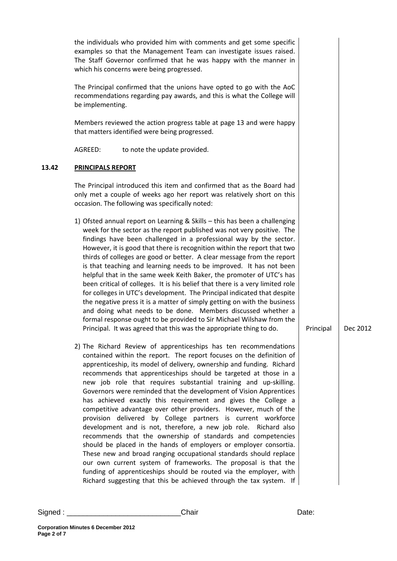|       | the individuals who provided him with comments and get some specific<br>examples so that the Management Team can investigate issues raised.<br>The Staff Governor confirmed that he was happy with the manner in<br>which his concerns were being progressed.                                                                                                                                                                                                                                                                                                                                                                                                                                                                                                                                                                                                                                                                                                                                                                                                                                                                   |           |          |
|-------|---------------------------------------------------------------------------------------------------------------------------------------------------------------------------------------------------------------------------------------------------------------------------------------------------------------------------------------------------------------------------------------------------------------------------------------------------------------------------------------------------------------------------------------------------------------------------------------------------------------------------------------------------------------------------------------------------------------------------------------------------------------------------------------------------------------------------------------------------------------------------------------------------------------------------------------------------------------------------------------------------------------------------------------------------------------------------------------------------------------------------------|-----------|----------|
|       | The Principal confirmed that the unions have opted to go with the AoC<br>recommendations regarding pay awards, and this is what the College will<br>be implementing.                                                                                                                                                                                                                                                                                                                                                                                                                                                                                                                                                                                                                                                                                                                                                                                                                                                                                                                                                            |           |          |
|       | Members reviewed the action progress table at page 13 and were happy<br>that matters identified were being progressed.                                                                                                                                                                                                                                                                                                                                                                                                                                                                                                                                                                                                                                                                                                                                                                                                                                                                                                                                                                                                          |           |          |
|       | to note the update provided.<br>AGREED:                                                                                                                                                                                                                                                                                                                                                                                                                                                                                                                                                                                                                                                                                                                                                                                                                                                                                                                                                                                                                                                                                         |           |          |
| 13.42 | <b>PRINCIPALS REPORT</b>                                                                                                                                                                                                                                                                                                                                                                                                                                                                                                                                                                                                                                                                                                                                                                                                                                                                                                                                                                                                                                                                                                        |           |          |
|       | The Principal introduced this item and confirmed that as the Board had<br>only met a couple of weeks ago her report was relatively short on this<br>occasion. The following was specifically noted:                                                                                                                                                                                                                                                                                                                                                                                                                                                                                                                                                                                                                                                                                                                                                                                                                                                                                                                             |           |          |
|       | 1) Ofsted annual report on Learning & Skills - this has been a challenging<br>week for the sector as the report published was not very positive. The<br>findings have been challenged in a professional way by the sector.<br>However, it is good that there is recognition within the report that two<br>thirds of colleges are good or better. A clear message from the report<br>is that teaching and learning needs to be improved. It has not been<br>helpful that in the same week Keith Baker, the promoter of UTC's has<br>been critical of colleges. It is his belief that there is a very limited role<br>for colleges in UTC's development. The Principal indicated that despite<br>the negative press it is a matter of simply getting on with the business<br>and doing what needs to be done. Members discussed whether a<br>formal response ought to be provided to Sir Michael Wilshaw from the<br>Principal. It was agreed that this was the appropriate thing to do.                                                                                                                                          | Principal | Dec 2012 |
|       | 2) The Richard Review of apprenticeships has ten recommendations<br>contained within the report. The report focuses on the definition of<br>apprenticeship, its model of delivery, ownership and funding. Richard<br>recommends that apprenticeships should be targeted at those in a<br>new job role that requires substantial training and up-skilling.<br>Governors were reminded that the development of Vision Apprentices<br>has achieved exactly this requirement and gives the College a<br>competitive advantage over other providers. However, much of the<br>provision delivered by College partners is current workforce<br>development and is not, therefore, a new job role. Richard also<br>recommends that the ownership of standards and competencies<br>should be placed in the hands of employers or employer consortia.<br>These new and broad ranging occupational standards should replace<br>our own current system of frameworks. The proposal is that the<br>funding of apprenticeships should be routed via the employer, with<br>Richard suggesting that this be achieved through the tax system. If |           |          |

**Page 2 of 7**

**Corporation Minutes 6 December 2012**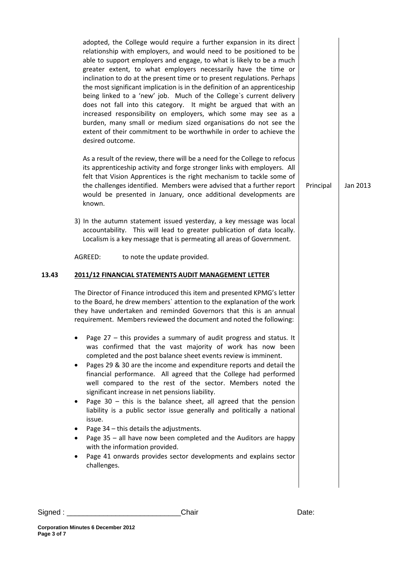adopted, the College would require a further expansion in its direct relationship with employers, and would need to be positioned to be able to support employers and engage, to what is likely to be a much greater extent, to what employers necessarily have the time or inclination to do at the present time or to present regulations. Perhaps the most significant implication is in the definition of an apprenticeship being linked to a 'new' job. Much of the College`s current delivery does not fall into this category. It might be argued that with an increased responsibility on employers, which some may see as a burden, many small or medium sized organisations do not see the extent of their commitment to be worthwhile in order to achieve the desired outcome.

As a result of the review, there will be a need for the College to refocus its apprenticeship activity and forge stronger links with employers. All felt that Vision Apprentices is the right mechanism to tackle some of the challenges identified. Members were advised that a further report would be presented in January, once additional developments are known.

3) In the autumn statement issued yesterday, a key message was local accountability. This will lead to greater publication of data locally. Localism is a key message that is permeating all areas of Government.

AGREED: to note the update provided.

## **13.43 2011/12 FINANCIAL STATEMENTS AUDIT MANAGEMENT LETTER**

The Director of Finance introduced this item and presented KPMG's letter to the Board, he drew members` attention to the explanation of the work they have undertaken and reminded Governors that this is an annual requirement. Members reviewed the document and noted the following:

- Page 27 this provides a summary of audit progress and status. It was confirmed that the vast majority of work has now been completed and the post balance sheet events review is imminent.
- Pages 29 & 30 are the income and expenditure reports and detail the financial performance. All agreed that the College had performed well compared to the rest of the sector. Members noted the significant increase in net pensions liability.
- Page  $30 -$  this is the balance sheet, all agreed that the pension liability is a public sector issue generally and politically a national issue.
- Page  $34$  this details the adjustments.
- Page 35 all have now been completed and the Auditors are happy with the information provided.
- Page 41 onwards provides sector developments and explains sector challenges.

**Page 3 of 7**

**Corporation Minutes 6 December 2012**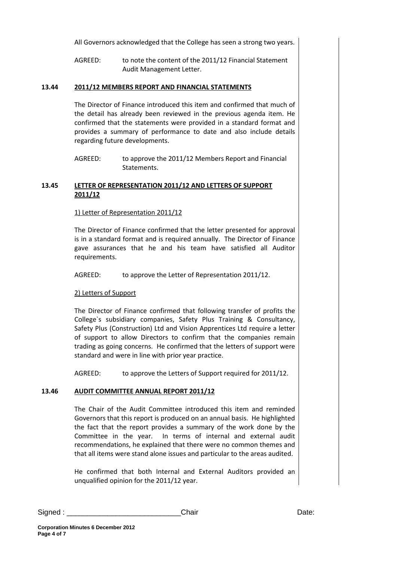All Governors acknowledged that the College has seen a strong two years.

AGREED: to note the content of the 2011/12 Financial Statement Audit Management Letter.

## **13.44 2011/12 MEMBERS REPORT AND FINANCIAL STATEMENTS**

The Director of Finance introduced this item and confirmed that much of the detail has already been reviewed in the previous agenda item. He confirmed that the statements were provided in a standard format and provides a summary of performance to date and also include details regarding future developments.

## **13.45 LETTER OF REPRESENTATION 2011/12 AND LETTERS OF SUPPORT 2011/12**

### 1) Letter of Representation 2011/12

The Director of Finance confirmed that the letter presented for approval is in a standard format and is required annually. The Director of Finance gave assurances that he and his team have satisfied all Auditor requirements.

AGREED: to approve the Letter of Representation 2011/12.

## 2) Letters of Support

The Director of Finance confirmed that following transfer of profits the College`s subsidiary companies, Safety Plus Training & Consultancy, Safety Plus (Construction) Ltd and Vision Apprentices Ltd require a letter of support to allow Directors to confirm that the companies remain trading as going concerns. He confirmed that the letters of support were standard and were in line with prior year practice.

AGREED: to approve the Letters of Support required for 2011/12.

## **13.46 AUDIT COMMITTEE ANNUAL REPORT 2011/12**

The Chair of the Audit Committee introduced this item and reminded Governors that this report is produced on an annual basis. He highlighted the fact that the report provides a summary of the work done by the Committee in the year. In terms of internal and external audit recommendations, he explained that there were no common themes and that all items were stand alone issues and particular to the areas audited.

He confirmed that both Internal and External Auditors provided an unqualified opinion for the 2011/12 year.

AGREED: to approve the 2011/12 Members Report and Financial Statements.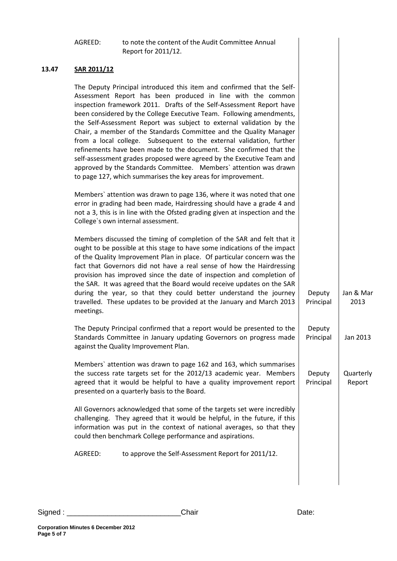|       | AGREED:                                                                                                                                                                                                                                                                                                                                                                                                                                                                                                                                                                                                                                                                                                                                                                                         | to note the content of the Audit Committee Annual<br>Report for 2011/12.                                                                                                                                                                                                                                                                                                                                                                                                                                                                                                                                 |                     |                     |
|-------|-------------------------------------------------------------------------------------------------------------------------------------------------------------------------------------------------------------------------------------------------------------------------------------------------------------------------------------------------------------------------------------------------------------------------------------------------------------------------------------------------------------------------------------------------------------------------------------------------------------------------------------------------------------------------------------------------------------------------------------------------------------------------------------------------|----------------------------------------------------------------------------------------------------------------------------------------------------------------------------------------------------------------------------------------------------------------------------------------------------------------------------------------------------------------------------------------------------------------------------------------------------------------------------------------------------------------------------------------------------------------------------------------------------------|---------------------|---------------------|
| 13.47 | SAR 2011/12                                                                                                                                                                                                                                                                                                                                                                                                                                                                                                                                                                                                                                                                                                                                                                                     |                                                                                                                                                                                                                                                                                                                                                                                                                                                                                                                                                                                                          |                     |                     |
|       | The Deputy Principal introduced this item and confirmed that the Self-<br>Assessment Report has been produced in line with the common<br>inspection framework 2011. Drafts of the Self-Assessment Report have<br>been considered by the College Executive Team. Following amendments,<br>the Self-Assessment Report was subject to external validation by the<br>Chair, a member of the Standards Committee and the Quality Manager<br>from a local college. Subsequent to the external validation, further<br>refinements have been made to the document. She confirmed that the<br>self-assessment grades proposed were agreed by the Executive Team and<br>approved by the Standards Committee. Members' attention was drawn<br>to page 127, which summarises the key areas for improvement. |                                                                                                                                                                                                                                                                                                                                                                                                                                                                                                                                                                                                          |                     |                     |
|       | Members' attention was drawn to page 136, where it was noted that one<br>error in grading had been made, Hairdressing should have a grade 4 and<br>not a 3, this is in line with the Ofsted grading given at inspection and the<br>College's own internal assessment.                                                                                                                                                                                                                                                                                                                                                                                                                                                                                                                           |                                                                                                                                                                                                                                                                                                                                                                                                                                                                                                                                                                                                          |                     |                     |
|       | meetings.                                                                                                                                                                                                                                                                                                                                                                                                                                                                                                                                                                                                                                                                                                                                                                                       | Members discussed the timing of completion of the SAR and felt that it<br>ought to be possible at this stage to have some indications of the impact<br>of the Quality Improvement Plan in place. Of particular concern was the<br>fact that Governors did not have a real sense of how the Hairdressing<br>provision has improved since the date of inspection and completion of<br>the SAR. It was agreed that the Board would receive updates on the SAR<br>during the year, so that they could better understand the journey<br>travelled. These updates to be provided at the January and March 2013 | Deputy<br>Principal | Jan & Mar<br>2013   |
|       |                                                                                                                                                                                                                                                                                                                                                                                                                                                                                                                                                                                                                                                                                                                                                                                                 | The Deputy Principal confirmed that a report would be presented to the<br>Standards Committee in January updating Governors on progress made<br>against the Quality Improvement Plan.                                                                                                                                                                                                                                                                                                                                                                                                                    | Deputy<br>Principal | Jan 2013            |
|       |                                                                                                                                                                                                                                                                                                                                                                                                                                                                                                                                                                                                                                                                                                                                                                                                 | Members' attention was drawn to page 162 and 163, which summarises<br>the success rate targets set for the 2012/13 academic year. Members<br>agreed that it would be helpful to have a quality improvement report<br>presented on a quarterly basis to the Board.                                                                                                                                                                                                                                                                                                                                        | Deputy<br>Principal | Quarterly<br>Report |
|       | All Governors acknowledged that some of the targets set were incredibly<br>challenging. They agreed that it would be helpful, in the future, if this<br>information was put in the context of national averages, so that they<br>could then benchmark College performance and aspirations.                                                                                                                                                                                                                                                                                                                                                                                                                                                                                                      |                                                                                                                                                                                                                                                                                                                                                                                                                                                                                                                                                                                                          |                     |                     |
|       | AGREED:                                                                                                                                                                                                                                                                                                                                                                                                                                                                                                                                                                                                                                                                                                                                                                                         | to approve the Self-Assessment Report for 2011/12.                                                                                                                                                                                                                                                                                                                                                                                                                                                                                                                                                       |                     |                     |
|       |                                                                                                                                                                                                                                                                                                                                                                                                                                                                                                                                                                                                                                                                                                                                                                                                 |                                                                                                                                                                                                                                                                                                                                                                                                                                                                                                                                                                                                          |                     |                     |

**Page 5 of 7**

**Corporation Minutes 6 December 2012**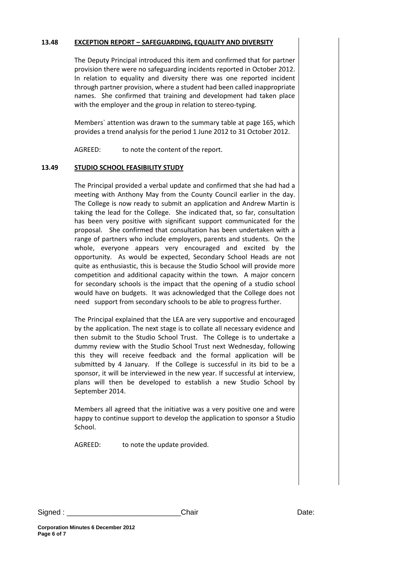## **13.48 EXCEPTION REPORT – SAFEGUARDING, EQUALITY AND DIVERSITY**

The Deputy Principal introduced this item and confirmed that for partner provision there were no safeguarding incidents reported in October 2012. In relation to equality and diversity there was one reported incident through partner provision, where a student had been called inappropriate names. She confirmed that training and development had taken place with the employer and the group in relation to stereo-typing.

Members` attention was drawn to the summary table at page 165, which provides a trend analysis for the period 1 June 2012 to 31 October 2012.

AGREED: to note the content of the report.

# **13.49 STUDIO SCHOOL FEASIBILITY STUDY**

The Principal provided a verbal update and confirmed that she had had a meeting with Anthony May from the County Council earlier in the day. The College is now ready to submit an application and Andrew Martin is taking the lead for the College. She indicated that, so far, consultation has been very positive with significant support communicated for the proposal. She confirmed that consultation has been undertaken with a range of partners who include employers, parents and students. On the whole, everyone appears very encouraged and excited by the opportunity. As would be expected, Secondary School Heads are not quite as enthusiastic, this is because the Studio School will provide more competition and additional capacity within the town. A major concern for secondary schools is the impact that the opening of a studio school would have on budgets. It was acknowledged that the College does not need support from secondary schools to be able to progress further.

The Principal explained that the LEA are very supportive and encouraged by the application. The next stage is to collate all necessary evidence and then submit to the Studio School Trust. The College is to undertake a dummy review with the Studio School Trust next Wednesday, following this they will receive feedback and the formal application will be submitted by 4 January. If the College is successful in its bid to be a sponsor, it will be interviewed in the new year. If successful at interview, plans will then be developed to establish a new Studio School by September 2014.

Members all agreed that the initiative was a very positive one and were happy to continue support to develop the application to sponsor a Studio School.

AGREED: to note the update provided.